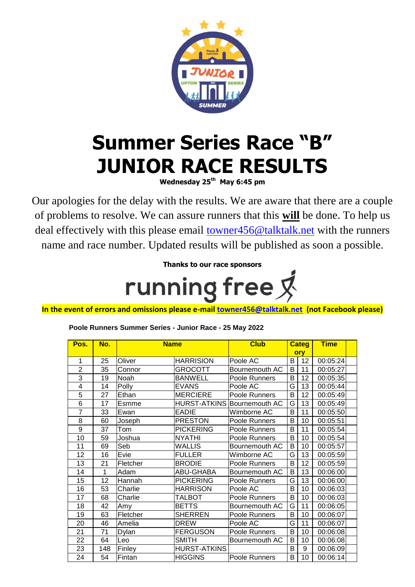

## **Summer Series Race "B" JUNIOR RACE RESULTS**

**Wednesday 25th May 6:45 pm**

Our apologies for the delay with the results. We are aware that there are a couple of problems to resolve. We can assure runners that this **will** be done. To help us deal effectively with this please email [towner456@talktalk.net](mailto:towner456@talktalk.net) with the runners name and race number. Updated results will be published as soon a possible.

> **Thanks to our race sponsors** running free &

**In the event of errors and omissions please e-mail [towner456@talktalk.net](mailto:towner456@talktalk.net) (not Facebook please)**

| Pos.           | No. | <b>Name</b> |                     | <b>Club</b>                        | <b>Categ</b> |    | <b>Time</b> |  |
|----------------|-----|-------------|---------------------|------------------------------------|--------------|----|-------------|--|
|                |     |             |                     |                                    | ory          |    |             |  |
| 1              | 25  | Oliver      | <b>HARRISION</b>    | Poole AC                           | B            | 12 | 00:05:24    |  |
| $\overline{2}$ | 35  | Connor      | GROCOTT             | Bournemouth AC                     | B            | 11 | 00:05:27    |  |
| 3              | 19  | Noah        | <b>BANWELL</b>      | Poole Runners                      | B            | 12 | 00:05:35    |  |
| 4              | 14  | Polly       | <b>EVANS</b>        | Poole AC                           | G            | 13 | 00:05:44    |  |
| 5              | 27  | Ethan       | <b>MERCIERE</b>     | Poole Runners                      | B            | 12 | 00:05:49    |  |
| 6              | 17  | Esmme       |                     | <b>HURST-ATKINS Bournemouth AC</b> | G            | 13 | 00:05:49    |  |
| 7              | 33  | Ewan        | EADIE               | Wimborne AC                        | B            | 11 | 00:05:50    |  |
| 8              | 60  | Joseph      | <b>PRESTON</b>      | Poole Runners                      | B            | 10 | 00:05:51    |  |
| 9              | 37  | Tom         | <b>PICKERING</b>    | Poole Runners                      | B            | 11 | 00:05:54    |  |
| 10             | 59  | Joshua      | <b>NYATHI</b>       | Poole Runners                      | B            | 10 | 00:05:54    |  |
| 11             | 69  | Seb         | <b>WALLIS</b>       | Bournemouth AC                     | B            | 10 | 00:05:57    |  |
| 12             | 16  | Evie        | <b>FULLER</b>       | Wimborne AC                        | G            | 13 | 00:05:59    |  |
| 13             | 21  | Fletcher    | <b>BRODIE</b>       | Poole Runners                      | B            | 12 | 00:05:59    |  |
| 14             | 1   | Adam        | <b>ABU-GHABA</b>    | Bournemouth AC                     | B            | 13 | 00:06:00    |  |
| 15             | 12  | Hannah      | <b>PICKERING</b>    | Poole Runners                      | G            | 13 | 00:06:00    |  |
| 16             | 53  | Charlie     | <b>HARRISON</b>     | Poole AC                           | B            | 10 | 00:06:03    |  |
| 17             | 68  | Charlie     | TALBOT              | Poole Runners                      | B            | 10 | 00:06:03    |  |
| 18             | 42  | Amy         | <b>BETTS</b>        | Bournemouth AC                     | G            | 11 | 00:06:05    |  |
| 19             | 63  | Fletcher    | <b>SHERREN</b>      | Poole Runners                      | B            | 10 | 00:06:07    |  |
| 20             | 46  | Amelia      | <b>DREW</b>         | Poole AC                           | G            | 11 | 00:06:07    |  |
| 21             | 71  | Dylan       | <b>FERGUSON</b>     | Poole Runners                      | B            | 10 | 00:06:08    |  |
| 22             | 64  | Leo         | <b>SMITH</b>        | Bournemouth AC                     | B            | 10 | 00:06:08    |  |
| 23             | 148 | Finley      | <b>HURST-ATKINS</b> |                                    | B            | 9  | 00:06:09    |  |
| 24             | 54  | Fintan      | <b>HIGGINS</b>      | Poole Runners                      | B            | 10 | 00:06:14    |  |

## **Poole Runners Summer Series - Junior Race - 25 May 2022**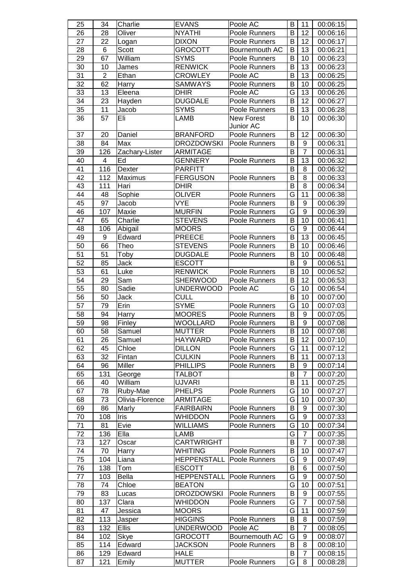| 25              | 34              | Charlie           | <b>EVANS</b>                   | Poole AC                       | B            | 11                  | 00:06:15             |
|-----------------|-----------------|-------------------|--------------------------------|--------------------------------|--------------|---------------------|----------------------|
| 26              | 28              | Oliver            | <b>NYATHI</b>                  | Poole Runners                  | B            | 12                  | 00:06:16             |
| 27              | 22              | Logan             | <b>DIXON</b>                   | Poole Runners                  | B            | 12                  | 00:06:17             |
| 28              | 6               | Scott             | <b>GROCOTT</b>                 | Bournemouth AC                 | B            | 13                  | 00:06:21             |
| 29              | 67              | William           | <b>SYMS</b>                    | Poole Runners                  | В            | 10                  | 00:06:23             |
| 30              | 10              | James             | <b>RENWICK</b>                 | Poole Runners                  | B            | 13                  | 00:06:23             |
| $\overline{31}$ | $\overline{2}$  | Ethan             | <b>CROWLEY</b>                 | Poole AC                       | B            | 13                  | 00:06:25             |
| $\overline{32}$ | 62              | Harry             | <b>SAMWAYS</b>                 | Poole Runners                  | B            | 10                  | 00:06:25             |
| 33              | 13              | Eleena            | <b>DHIR</b>                    | Poole AC                       | G            | 13                  | 00:06:26             |
| $\overline{34}$ | 23              | Hayden            | <b>DUGDALE</b>                 | Poole Runners                  | B            | 12                  | 00:06:27             |
| 35              | 11              | Jacob             | <b>SYMS</b>                    | Poole Runners                  | B            | 13                  | 00:06:28             |
| 36              | 57              | Eli               | LAMB                           | <b>New Forest</b>              | B            | 10                  | 00:06:30             |
|                 |                 |                   |                                | Junior AC                      |              |                     |                      |
| 37              | 20              | Daniel            | <b>BRANFORD</b>                | Poole Runners                  | B            | 12                  | 00:06:30             |
| 38              | 84              | Max               | <b>DROZDOWSKI</b>              | Poole Runners                  | B            | 9                   | 00:06:31             |
| $\overline{39}$ | 126             | Zachary-Lister    | <b>ARMITAGE</b>                |                                | B            | $\overline{7}$      | 00:06:31             |
| 40              | 4               | Ed                | <b>GENNERY</b>                 | Poole Runners                  | B            | 13                  | 00:06:32             |
| 41              | 116             | Dexter            | <b>PARFITT</b>                 |                                | B            | 8                   | 00:06:32             |
| 42              | 112             | Maximus           | <b>FERGUSON</b>                | Poole Runners                  | B            | 8                   | 00:06:33             |
| 43              | 111             | Hari              | <b>DHIR</b>                    |                                | B            | 8                   | 00:06:34             |
| 44              | 48              | Sophie            | <b>OLIVER</b>                  | Poole Runners                  | G            | 11                  | 00:06:38             |
| $\overline{45}$ | 97              | Jacob             | <b>VYE</b>                     | Poole Runners                  | B            | 9                   | 00:06:39             |
| 46              | 107             | Maxie             | <b>MURFIN</b>                  | Poole Runners                  | G            | 9                   | 00:06:39             |
| 47              | 65              | Charlie           | <b>STEVENS</b>                 | Poole Runners                  | B            | 10                  | 00:06:41             |
| 48              | 106             | Abigail           | <b>MOORS</b>                   |                                | G            | $\boldsymbol{9}$    | 00:06:44             |
| 49              | 9               | Edward            | PREECE                         | Poole Runners                  | B            | 13                  | 00:06:45             |
| 50              | 66              | Theo              | <b>STEVENS</b>                 | Poole Runners                  | B            | 10                  | 00:06:46             |
| $\overline{51}$ | $\overline{51}$ | Toby              | <b>DUGDALE</b>                 | Poole Runners                  | B            | 10                  | 00:06:48             |
| $\overline{52}$ | 85              | Jack              | <b>ESCOTT</b>                  |                                | B            | $\boldsymbol{9}$    | 00:06:51             |
| 53              | 61              | Luke              | <b>RENWICK</b>                 | Poole Runners                  | B            | 10                  | 00:06:52             |
| 54              | 29              | Sam               | <b>SHERWOOD</b>                | Poole Runners                  | B            | 12                  | 00:06:53             |
| $\overline{55}$ | 80              | Sadie             | <b>UNDERWOOD</b>               | Poole AC                       | G            | 10                  | 00:06:54             |
| 56              | 50              | Jack              | <b>CULL</b>                    |                                | B            | 10                  | 00:07:00             |
| 57              | 79              | Erin              | <b>SYME</b>                    |                                | G            | 10                  |                      |
| 58              | 94              |                   | <b>MOORES</b>                  | Poole Runners<br>Poole Runners | B            | 9                   | 00:07:03<br>00:07:05 |
| 59              | 98              | Harry<br>Finley   | <b>WOOLLARD</b>                | Poole Runners                  | B            | $\mathsf g$         | 00:07:08             |
| 60              | 58              | Samuel            | <b>MUTTER</b>                  |                                | $\mathsf{B}$ | $10$                |                      |
| 61              | 26              |                   | <b>HAYWARD</b>                 | Poole Runners                  | В            | 12                  | 00:07:08<br>00:07:10 |
| 62              | 45              | Samuel<br>Chloe   | <b>DILLON</b>                  | Poole Runners<br>Poole Runners | G            | 11                  | 00:07:12             |
| 63              | 32              |                   | <b>CULKIN</b>                  |                                | B            | 11                  |                      |
| 64              | 96              | Fintan<br>Miller  | <b>PHILLIPS</b>                | Poole Runners<br>Poole Runners | B            | 9                   | 00:07:13             |
| 65              | 131             |                   | <b>TALBOT</b>                  |                                | B            | $\overline{7}$      | 00:07:14             |
|                 |                 | George<br>William |                                |                                | B            | 11                  | 00:07:20             |
| 66<br>67        | 40<br>78        | Ruby-Mae          | <b>UJVARI</b><br><b>PHELPS</b> | Poole Runners                  | G            | 10                  | 00:07:25             |
| 68              | 73              | Olivia-Florence   | ARMITAGE                       |                                | G            | 10                  | 00:07:27             |
| 69              | 86              | Marly             | <b>FAIRBAIRN</b>               |                                | B            | 9                   | 00:07:30             |
| 70              |                 | Iris              | <b>WHIDDON</b>                 | Poole Runners                  | G            | 9                   | 00:07:30             |
| $\overline{71}$ | 108<br>81       | Evie              | <b>WILLIAMS</b>                | Poole Runners<br>Poole Runners | G            | 10                  | 00:07:33<br>00:07:34 |
| 72              | 136             | Ella              | LAMB                           |                                | G            | $\overline{7}$      | 00:07:35             |
| 73              | 127             | Oscar             | <b>CARTWRIGHT</b>              |                                | B            | $\overline{7}$      | 00:07:38             |
| 74              | 70              |                   | <b>WHITING</b>                 | Poole Runners                  | B            | 10                  | 00:07:47             |
| 75              | 104             | Harry<br>Liana    | <b>HEPPENSTALL</b>             | Poole Runners                  | G            | 9                   | 00:07:49             |
|                 |                 |                   |                                |                                | B            | 6                   |                      |
| 76<br>77        | 138             | Tom<br>Bella      | <b>ESCOTT</b><br>HEPPENSTALL   | Poole Runners                  | G            | 9                   | 00:07:50             |
| 78              | 103<br>74       | Chloe             | <b>BEATON</b>                  |                                | G            | 10                  | 00:07:50<br>00:07:51 |
| 79              | 83              |                   | <b>DROZDOWSKI</b>              | Poole Runners                  | В            | 9                   | 00:07:55             |
| 80              | 137             | Lucas             | <b>WHIDDON</b>                 |                                | G            | $\overline{7}$      |                      |
|                 | 47              | Clara             |                                | Poole Runners                  |              |                     | 00:07:58             |
| 81              |                 | Jessica           | <b>MOORS</b>                   |                                | G            | 11                  | 00:07:59             |
| 82              | 113             | Jasper            | <b>HIGGINS</b>                 | Poole Runners                  | B            | 8<br>$\overline{7}$ | 00:07:59             |
| 83              | 132             | <b>Ellis</b>      | <b>UNDERWOOD</b>               | Poole AC                       | B            | 9                   | 00:08:05             |
| 84              | 102             | Skye              | <b>GROCOTT</b>                 | Bournemouth AC                 | G            |                     | 00:08:07             |
| 85              | 114             | Edward            | <b>JACKSON</b>                 | Poole Runners                  | B            | 8<br>$\overline{7}$ | 00:08:10             |
| 86              | 129             | Edward            | <b>HALE</b>                    |                                | B            |                     | 00:08:15             |
| 87              | 121             | Emily             | <b>MUTTER</b>                  | Poole Runners                  | G            | 8                   | 00:08:28             |